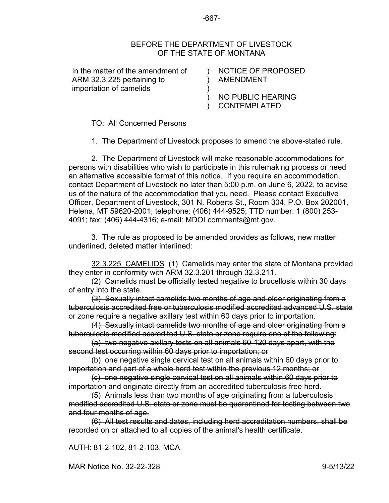## BEFORE THE DEPARTMENT OF LIVESTOCK OF THE STATE OF MONTANA

) ) ) ) )

In the matter of the amendment of ARM 32.3.225 pertaining to importation of camelids

NOTICE OF PROPOSED AMENDMENT

NO PUBLIC HEARING CONTEMPLATED

TO: All Concerned Persons

1. The Department of Livestock proposes to amend the above-stated rule.

2. The Department of Livestock will make reasonable accommodations for persons with disabilities who wish to participate in this rulemaking process or need an alternative accessible format of this notice. If you require an accommodation, contact Department of Livestock no later than 5:00 p.m. on June 6, 2022, to advise us of the nature of the accommodation that you need. Please contact Executive Officer, Department of Livestock, 301 N. Roberts St., Room 304, P.O. Box 202001, Helena, MT 59620-2001; telephone: (406) 444-9525; TTD number: 1 (800) 253- 4091; fax: (406) 444-4316; e-mail: MDOLcomments@mt.gov.

3. The rule as proposed to be amended provides as follows, new matter underlined, deleted matter interlined:

[32.3.225](https://rules.mt.gov/gateway/ruleno.asp?RN=32%2E3%2E225) CAMELIDS (1) Camelids may enter the state of Montana provided they enter in conformity with ARM [32.3.201](https://rules.mt.gov/gateway/ruleno.asp?RN=32.3.201) through [32.3.211.](https://rules.mt.gov/gateway/ruleno.asp?RN=32.3.211)

(2) Camelids must be officially tested negative to brucellosis within 30 days of entry into the state.

(3) Sexually intact camelids two months of age and older originating from a tuberculosis accredited free or tuberculosis modified accredited advanced U.S. state or zone require a negative axillary test within 60 days prior to importation.

(4) Sexually intact camelids two months of age and older originating from a tuberculosis modified accredited U.S. state or zone require one of the following:

(a) two negative axillary tests on all animals 60-120 days apart, with the second test occurring within 60 days prior to importation; or

(b) one negative single cervical test on all animals within 60 days prior to importation and part of a whole herd test within the previous 12 months; or

(c) one negative single cervical test on all animals within 60 days prior to importation and originate directly from an accredited tuberculosis free herd.

(5) Animals less than two months of age originating from a tuberculosis modified accredited U.S. state or zone must be quarantined for testing between two and four months of age.

(6) All test results and dates, including herd accreditation numbers, shall be recorded on or attached to all copies of the animal's health certificate.

AUTH: 81-2-102, 81-2-103, MCA

MAR Notice No. 32-22-328 9-5/13/22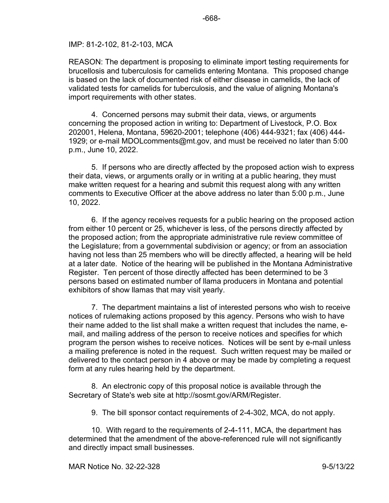## IMP: 81-2-102, 81-2-103, MCA

REASON: The department is proposing to eliminate import testing requirements for brucellosis and tuberculosis for camelids entering Montana. This proposed change is based on the lack of documented risk of either disease in camelids, the lack of validated tests for camelids for tuberculosis, and the value of aligning Montana's import requirements with other states.

4. Concerned persons may submit their data, views, or arguments concerning the proposed action in writing to: Department of Livestock, P.O. Box 202001, Helena, Montana, 59620-2001; telephone (406) 444-9321; fax (406) 444- 1929; or e-mail MDOLcomments@mt.gov, and must be received no later than 5:00 p.m., June 10, 2022.

5. If persons who are directly affected by the proposed action wish to express their data, views, or arguments orally or in writing at a public hearing, they must make written request for a hearing and submit this request along with any written comments to Executive Officer at the above address no later than 5:00 p.m., June 10, 2022.

6. If the agency receives requests for a public hearing on the proposed action from either 10 percent or 25, whichever is less, of the persons directly affected by the proposed action; from the appropriate administrative rule review committee of the Legislature; from a governmental subdivision or agency; or from an association having not less than 25 members who will be directly affected, a hearing will be held at a later date. Notice of the hearing will be published in the Montana Administrative Register. Ten percent of those directly affected has been determined to be 3 persons based on estimated number of llama producers in Montana and potential exhibitors of show llamas that may visit yearly.

7. The department maintains a list of interested persons who wish to receive notices of rulemaking actions proposed by this agency. Persons who wish to have their name added to the list shall make a written request that includes the name, email, and mailing address of the person to receive notices and specifies for which program the person wishes to receive notices. Notices will be sent by e-mail unless a mailing preference is noted in the request. Such written request may be mailed or delivered to the contact person in 4 above or may be made by completing a request form at any rules hearing held by the department.

8. An electronic copy of this proposal notice is available through the Secretary of State's web site at http://sosmt.gov/ARM/Register.

9. The bill sponsor contact requirements of 2-4-302, MCA, do not apply.

10. With regard to the requirements of 2-4-111, MCA, the department has determined that the amendment of the above-referenced rule will not significantly and directly impact small businesses.